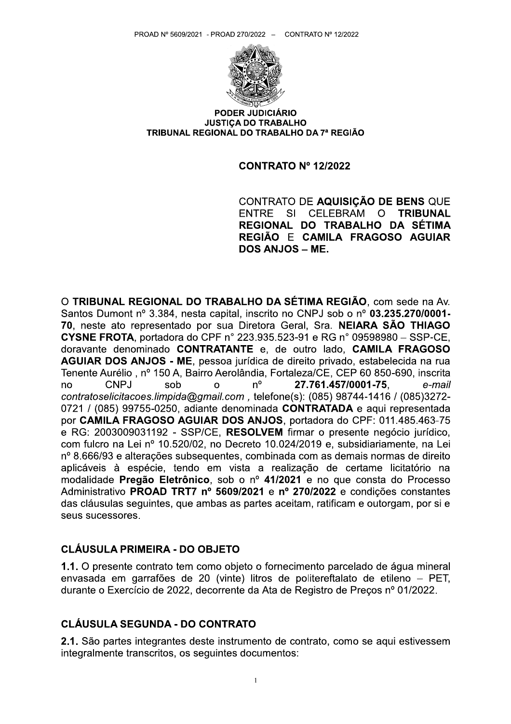

PODER JUDICIÁRIO **JUSTICA DO TRABALHO** TRIBUNAL REGIONAL DO TRABALHO DA 7ª REGIÃO

#### **CONTRATO Nº 12/2022**

CONTRATO DE AQUISIÇÃO DE BENS QUE **ENTRE**  $SI$ **CELEBRAM**  $\Omega$ **TRIBUNAL** REGIONAL DO TRABALHO DA SÉTIMA REGIÃO E CAMILA FRAGOSO AGUIAR DOS ANJOS - ME.

O TRIBUNAL REGIONAL DO TRABALHO DA SÉTIMA REGIÃO, com sede na Av. Santos Dumont nº 3.384, nesta capital, inscrito no CNPJ sob o nº 03.235.270/0001-70. neste ato representado por sua Diretora Geral, Sra. NEIARA SÃO THIAGO CYSNE FROTA, portadora do CPF nº 223.935.523-91 e RG nº 09598980 - SSP-CE, doravante denominado CONTRATANTE e, de outro lado, CAMILA FRAGOSO AGUIAR DOS ANJOS - ME, pessoa jurídica de direito privado, estabelecida na rua Tenente Aurélio, nº 150 A. Bairro Aerolândia, Fortaleza/CE, CEP 60 850-690, inscrita  $n^{\circ}$ 27.761.457/0001-75, e-mail **CNPJ** sob  $\Omega$ no contratoselicitacoes.limpida@gmail.com, telefone(s): (085) 98744-1416 / (085)3272-0721 / (085) 99755-0250, adiante denominada CONTRATADA e aqui representada por CAMILA FRAGOSO AGUIAR DOS ANJOS, portadora do CPF: 011.485.463-75 e RG: 2003009031192 - SSP/CE, RESOLVEM firmar o presente negócio jurídico, com fulcro na Lei nº 10.520/02, no Decreto 10.024/2019 e, subsidiariamente, na Lei nº 8.666/93 e alterações subsequentes, combinada com as demais normas de direito aplicáveis à espécie, tendo em vista a realização de certame licitatório na modalidade Pregão Eletrônico, sob o nº 41/2021 e no que consta do Processo Administrativo PROAD TRT7 nº 5609/2021 e nº 270/2022 e condições constantes das cláusulas sequintes, que ambas as partes aceitam, ratificam e outorgam, por si e seus sucessores.

#### **CLÁUSULA PRIMEIRA - DO OBJETO**

1.1. O presente contrato tem como objeto o fornecimento parcelado de água mineral envasada em garrafões de 20 (vinte) litros de politereftalato de etileno - PET, durante o Exercício de 2022, decorrente da Ata de Registro de Preços nº 01/2022.

#### **CLÁUSULA SEGUNDA - DO CONTRATO**

2.1. São partes integrantes deste instrumento de contrato, como se aqui estivessem integralmente transcritos, os seguintes documentos: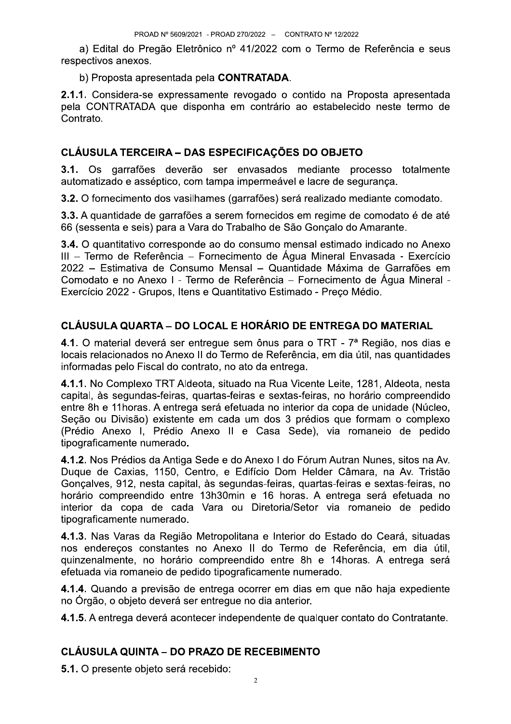a) Edital do Pregão Eletrônico nº 41/2022 com o Termo de Referência e seus respectivos anexos.

b) Proposta apresentada pela CONTRATADA.

2.1.1. Considera-se expressamente revogado o contido na Proposta apresentada pela CONTRATADA que disponha em contrário ao estabelecido neste termo de Contrato.

# **CLÁUSULA TERCEIRA - DAS ESPECIFICAÇÕES DO OBJETO**

3.1. Os garrafões deverão ser envasados mediante processo totalmente automatizado e asséptico, com tampa impermeável e lacre de segurança.

3.2. O fornecimento dos vasilhames (garrafões) será realizado mediante comodato.

3.3. A quantidade de garrafões a serem fornecidos em regime de comodato é de até 66 (sessenta e seis) para a Vara do Trabalho de São Gonçalo do Amarante.

3.4. O quantitativo corresponde ao do consumo mensal estimado indicado no Anexo III - Termo de Referência - Fornecimento de Água Mineral Envasada - Exercício 2022 – Estimativa de Consumo Mensal – Quantidade Máxima de Garrafões em Comodato e no Anexo I - Termo de Referência – Fornecimento de Água Mineral -Exercício 2022 - Grupos, Itens e Quantitativo Estimado - Preco Médio.

# CLÁUSULA QUARTA – DO LOCAL E HORÁRIO DE ENTREGA DO MATERIAL

4.1. O material deverá ser entregue sem ônus para o TRT - 7ª Região, nos dias e locais relacionados no Anexo II do Termo de Referência, em dia útil, nas quantidades informadas pelo Fiscal do contrato, no ato da entrega.

4.1.1. No Complexo TRT Aldeota, situado na Rua Vicente Leite, 1281, Aldeota, nesta capital, às segundas-feiras, quartas-feiras e sextas-feiras, no horário compreendido entre 8h e 11 horas. A entrega será efetuada no interior da copa de unidade (Núcleo, Seção ou Divisão) existente em cada um dos 3 prédios que formam o complexo (Prédio Anexo I, Prédio Anexo II e Casa Sede), via romaneio de pedido tipograficamente numerado.

4.1.2. Nos Prédios da Antiga Sede e do Anexo I do Fórum Autran Nunes, sitos na Av. Duque de Caxias, 1150, Centro, e Edifício Dom Helder Câmara, na Av. Tristão Gonçalves, 912, nesta capital, às segundas-feiras, quartas-feiras e sextas-feiras, no horário compreendido entre 13h30min e 16 horas. A entrega será efetuada no interior da copa de cada Vara ou Diretoria/Setor via romaneio de pedido tipograficamente numerado.

4.1.3. Nas Varas da Região Metropolitana e Interior do Estado do Ceará, situadas nos endereços constantes no Anexo II do Termo de Referência, em dia útil, guinzenalmente, no horário compreendido entre 8h e 14 horas. A entrega será efetuada via romaneio de pedido tipograficamente numerado.

4.1.4. Quando a previsão de entrega ocorrer em dias em que não haja expediente no Órgão, o objeto deverá ser entregue no dia anterior.

4.1.5. A entrega deverá acontecer independente de qualquer contato do Contratante.

# **CLÁUSULA QUINTA – DO PRAZO DE RECEBIMENTO**

5.1. O presente objeto será recebido: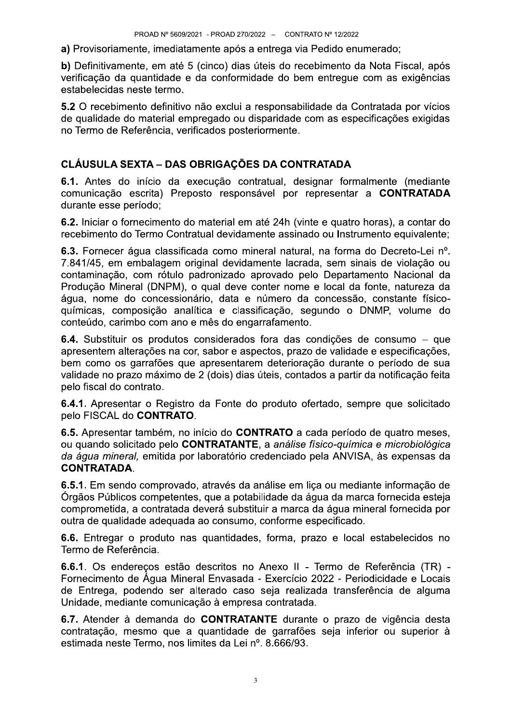a) Provisoriamente, imediatamente após a entrega via Pedido enumerado;

b) Definitivamente, em até 5 (cinco) dias úteis do recebimento da Nota Fiscal, após verificação da quantidade e da conformidade do bem entregue com as exigências estabelecidas neste termo.

5.2 O recebimento definitivo não exclui a responsabilidade da Contratada por vícios de qualidade do material empregado ou disparidade com as especificações exigidas no Termo de Referência, verificados posteriormente.

#### **CLÁUSULA SEXTA - DAS OBRIGAÇÕES DA CONTRATADA**

6.1. Antes do início da execução contratual, designar formalmente (mediante comunicação escrita) Preposto responsável por representar a CONTRATADA durante esse período:

6.2. Iniciar o fornecimento do material em até 24h (vinte e quatro horas), a contar do recebimento do Termo Contratual devidamente assinado ou Instrumento equivalente;

6.3. Fornecer água classificada como mineral natural, na forma do Decreto-Lei nº. 7.841/45, em embalagem original devidamente lacrada, sem sinais de violação ou contaminação, com rótulo padronizado aprovado pelo Departamento Nacional da Produção Mineral (DNPM), o qual deve conter nome e local da fonte, natureza da água, nome do concessionário, data e número da concessão, constante físicoquímicas, composição analítica e classificação, segundo o DNMP, volume do conteúdo, carimbo com ano e mês do engarrafamento.

6.4. Substituir os produtos considerados fora das condições de consumo – que apresentem alterações na cor, sabor e aspectos, prazo de validade e especificações, bem como os garrafões que apresentarem deterioração durante o período de sua validade no prazo máximo de 2 (dois) dias úteis, contados a partir da notificação feita pelo fiscal do contrato.

6.4.1. Apresentar o Registro da Fonte do produto ofertado, sempre que solicitado pelo FISCAL do CONTRATO.

6.5. Apresentar também, no início do CONTRATO a cada período de quatro meses, ou quando solicitado pelo CONTRATANTE, a análise físico-química e microbiológica da água mineral, emitida por laboratório credenciado pela ANVISA, às expensas da **CONTRATADA.** 

6.5.1. Em sendo comprovado, através da análise em lica ou mediante informação de Órgãos Públicos competentes, que a potabilidade da água da marca fornecida esteja comprometida, a contratada deverá substituir a marca da água mineral fornecida por outra de qualidade adequada ao consumo, conforme especificado.

6.6. Entregar o produto nas quantidades, forma, prazo e local estabelecidos no Termo de Referência.

6.6.1. Os endereços estão descritos no Anexo II - Termo de Referência (TR) -Fornecimento de Água Mineral Envasada - Exercício 2022 - Periodicidade e Locais de Entrega, podendo ser alterado caso seja realizada transferência de alguma Unidade, mediante comunicação à empresa contratada.

6.7. Atender à demanda do CONTRATANTE durante o prazo de vigência desta contratação, mesmo que a quantidade de garrafões seja inferior ou superior à estimada neste Termo, nos limites da Lei nº. 8.666/93.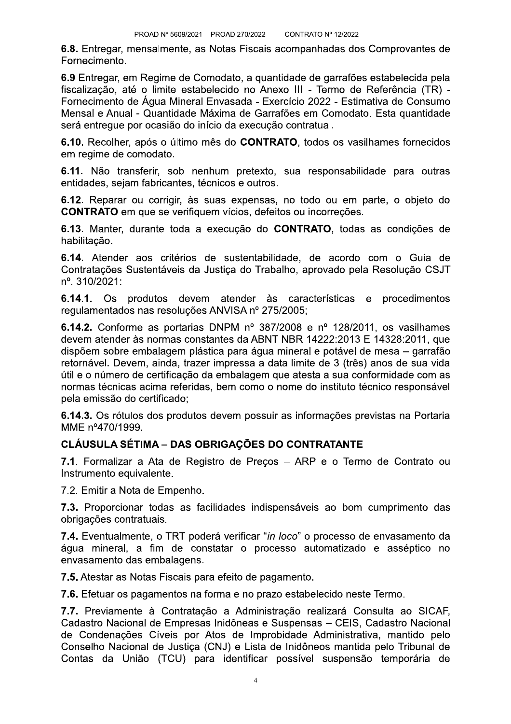6.8. Entregar, mensalmente, as Notas Fiscais acompanhadas dos Comprovantes de Fornecimento.

6.9 Entregar, em Regime de Comodato, a quantidade de garrafões estabelecida pela fiscalização, até o limite estabelecido no Anexo III - Termo de Referência (TR) -Fornecimento de Água Mineral Envasada - Exercício 2022 - Estimativa de Consumo Mensal e Anual - Quantidade Máxima de Garrafões em Comodato. Esta quantidade será entregue por ocasião do início da execução contratual.

6.10. Recolher, após o último mês do CONTRATO, todos os vasilhames fornecidos em regime de comodato.

6.11. Não transferir, sob nenhum pretexto, sua responsabilidade para outras entidades, sejam fabricantes, técnicos e outros.

6.12. Reparar ou corrigir, às suas expensas, no todo ou em parte, o objeto do **CONTRATO** em que se verifiquem vícios, defeitos ou incorreções.

6.13. Manter, durante toda a execução do CONTRATO, todas as condições de habilitação.

6.14. Atender aos critérios de sustentabilidade, de acordo com o Guia de Contratações Sustentáveis da Justica do Trabalho, aprovado pela Resolução CSJT nº. 310/2021:

6.14.1. Os produtos devem atender às características e procedimentos regulamentados nas resoluções ANVISA nº 275/2005;

6.14.2. Conforme as portarias DNPM nº 387/2008 e nº 128/2011, os vasilhames devem atender às normas constantes da ABNT NBR 14222:2013 E 14328:2011, que dispõem sobre embalagem plástica para água mineral e potável de mesa - garrafão retornável. Devem, ainda, trazer impressa a data limite de 3 (três) anos de sua vida útil e o número de certificação da embalagem que atesta a sua conformidade com as normas técnicas acima referidas, bem como o nome do instituto técnico responsável pela emissão do certificado;

6.14.3. Os rótulos dos produtos devem possuir as informações previstas na Portaria MME nº470/1999.

# **CLÁUSULA SÉTIMA - DAS OBRIGAÇÕES DO CONTRATANTE**

7.1. Formalizar a Ata de Registro de Preços - ARP e o Termo de Contrato ou Instrumento equivalente.

7.2. Emitir a Nota de Empenho.

7.3. Proporcionar todas as facilidades indispensáveis ao bom cumprimento das obrigações contratuais.

7.4. Eventualmente, o TRT poderá verificar "in loco" o processo de envasamento da água mineral, a fim de constatar o processo automatizado e asséptico no envasamento das embalagens.

7.5. Atestar as Notas Fiscais para efeito de pagamento.

7.6. Efetuar os pagamentos na forma e no prazo estabelecido neste Termo.

7.7. Previamente à Contratação a Administração realizará Consulta ao SICAF. Cadastro Nacional de Empresas Inidôneas e Suspensas - CEIS, Cadastro Nacional de Condenações Cíveis por Atos de Improbidade Administrativa, mantido pelo Conselho Nacional de Justica (CNJ) e Lista de Inidôneos mantida pelo Tribunal de Contas da União (TCU) para identificar possível suspensão temporária de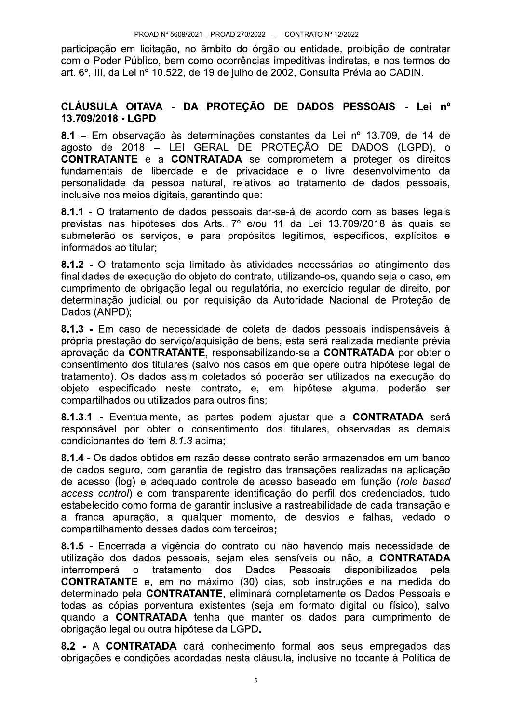participação em licitação, no âmbito do órgão ou entidade, proibição de contratar com o Poder Público, bem como ocorrências impeditivas indiretas, e nos termos do art. 6°. III. da Lei nº 10.522, de 19 de julho de 2002. Consulta Prévia ao CADIN.

#### CLÁUSULA OITAVA - DA PROTEÇÃO DE DADOS PESSOAIS - Lei nº 13.709/2018 - LGPD

8.1 - Em observação às determinações constantes da Lei nº 13.709, de 14 de agosto de 2018 – LEI GERAL DE PROTEÇÃO DE DADOS (LGPD), o **CONTRATANTE** e a **CONTRATADA** se comprometem a proteger os direitos fundamentais de liberdade e de privacidade e o livre desenvolvimento da personalidade da pessoa natural, relativos ao tratamento de dados pessoais, inclusive nos meios digitais, garantindo que:

8.1.1 - O tratamento de dados pessoais dar-se-á de acordo com as bases legais previstas nas hipóteses dos Arts. 7º e/ou 11 da Lei 13.709/2018 às quais se submeterão os serviços, e para propósitos legítimos, específicos, explícitos e informados ao titular;

8.1.2 - O tratamento seja limitado às atividades necessárias ao atingimento das finalidades de execução do objeto do contrato, utilizando-os, quando seja o caso, em cumprimento de obrigação legal ou regulatória, no exercício regular de direito, por determinação judicial ou por requisição da Autoridade Nacional de Proteção de Dados (ANPD);

8.1.3 - Em caso de necessidade de coleta de dados pessoais indispensáveis à própria prestação do serviço/aquisição de bens, esta será realizada mediante prévia aprovação da CONTRATANTE, responsabilizando-se a CONTRATADA por obter o consentimento dos titulares (salvo nos casos em que opere outra hipótese legal de tratamento). Os dados assim coletados só poderão ser utilizados na execução do objeto especificado neste contrato, e, em hipótese alguma, poderão ser compartilhados ou utilizados para outros fins;

8.1.3.1 - Eventualmente, as partes podem aiustar que a CONTRATADA será responsável por obter o consentimento dos titulares, observadas as demais condicionantes do item 8.1.3 acima;

8.1.4 - Os dados obtidos em razão desse contrato serão armazenados em um banco de dados seguro, com garantia de registro das transações realizadas na aplicação de acesso (log) e adequado controle de acesso baseado em função (role based access control) e com transparente identificação do perfil dos credenciados, tudo estabelecido como forma de garantir inclusive a rastreabilidade de cada transação e a franca apuração, a qualquer momento, de desvios e falhas, vedado o compartilhamento desses dados com terceiros;

8.1.5 - Encerrada a vigência do contrato ou não havendo mais necessidade de utilização dos dados pessoais, sejam eles sensíveis ou não, a CONTRATADA interromperá o tratamento dos Dados Pessoais disponibilizados pela **CONTRATANTE** e. em no máximo (30) dias, sob instruções e na medida do determinado pela CONTRATANTE, eliminará completamente os Dados Pessoais e todas as cópias porventura existentes (seja em formato digital ou físico), salvo quando a CONTRATADA tenha que manter os dados para cumprimento de obrigação legal ou outra hipótese da LGPD.

8.2 - A CONTRATADA dará conhecimento formal aos seus empregados das obrigações e condições acordadas nesta cláusula, inclusive no tocante à Política de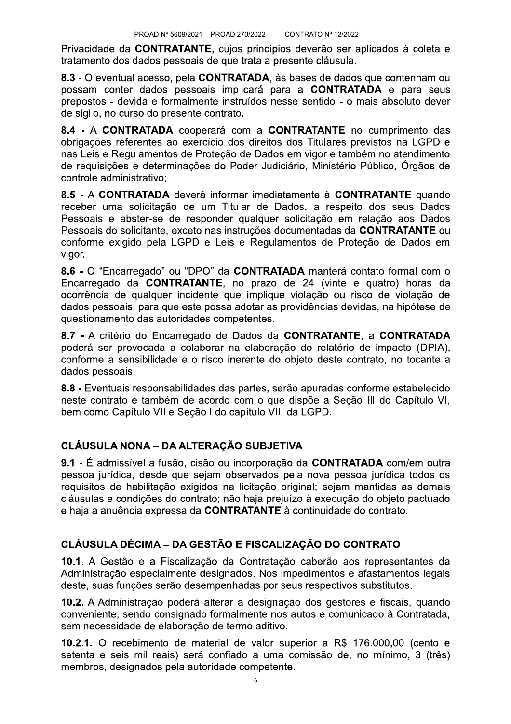Privacidade da CONTRATANTE, cujos princípios deverão ser aplicados à coleta e tratamento dos dados pessoais de que trata a presente cláusula.

8.3 - O eventual acesso, pela CONTRATADA, às bases de dados que contenham ou possam conter dados pessoais implicará para a **CONTRATADA** e para seus prepostos - devida e formalmente instruídos nesse sentido - o mais absoluto dever de sigilo, no curso do presente contrato.

8.4 - A CONTRATADA cooperará com a CONTRATANTE no cumprimento das obrigações referentes ao exercício dos direitos dos Titulares previstos na LGPD e nas Leis e Regulamentos de Proteção de Dados em vigor e também no atendimento de requisições e determinações do Poder Judiciário, Ministério Público, Órgãos de controle administrativo:

8.5 - A CONTRATADA deverá informar imediatamente à CONTRATANTE quando receber uma solicitação de um Titular de Dados, a respeito dos seus Dados Pessoais e abster-se de responder qualquer solicitação em relação aos Dados Pessoais do solicitante, exceto nas instruções documentadas da CONTRATANTE ou conforme exigido pela LGPD e Leis e Regulamentos de Proteção de Dados em vigor.

8.6 - O "Encarregado" ou "DPO" da CONTRATADA manterá contato formal com o Encarregado da **CONTRATANTE**, no prazo de 24 (vinte e quatro) horas da ocorrência de qualquer incidente que implique violação ou risco de violação de dados pessoais, para que este possa adotar as providências devidas, na hipótese de questionamento das autoridades competentes.

8.7 - A critério do Encarregado de Dados da CONTRATANTE, a CONTRATADA poderá ser provocada a colaborar na elaboração do relatório de impacto (DPIA), conforme a sensibilidade e o risco inerente do objeto deste contrato, no tocante a dados pessoais.

8.8 - Eventuais responsabilidades das partes, serão apuradas conforme estabelecido neste contrato e também de acordo com o que dispõe a Seção III do Capítulo VI, bem como Capítulo VII e Seção I do capítulo VIII da LGPD.

# CLÁUSULA NONA - DA ALTERAÇÃO SUBJETIVA

9.1 - É admissível a fusão, cisão ou incorporação da CONTRATADA com/em outra pessoa jurídica, desde que sejam observados pela nova pessoa jurídica todos os reguisitos de habilitação exigidos na licitação original; sejam mantidas as demais cláusulas e condições do contrato; não haja prejuízo à execução do objeto pactuado e haja a anuência expressa da CONTRATANTE à continuidade do contrato.

# CLÁUSULA DÉCIMA - DA GESTÃO E FISCALIZAÇÃO DO CONTRATO

10.1. A Gestão e a Fiscalização da Contratação caberão aos representantes da Administração especialmente designados. Nos impedimentos e afastamentos legais deste, suas funções serão desempenhadas por seus respectivos substitutos.

10.2. A Administração poderá alterar a designação dos gestores e fiscais, quando conveniente, sendo consignado formalmente nos autos e comunicado à Contratada, sem necessidade de elaboração de termo aditivo.

10.2.1. O recebimento de material de valor superior a R\$ 176.000,00 (cento e setenta e seis mil reais) será confiado a uma comissão de, no mínimo, 3 (três) membros, designados pela autoridade competente.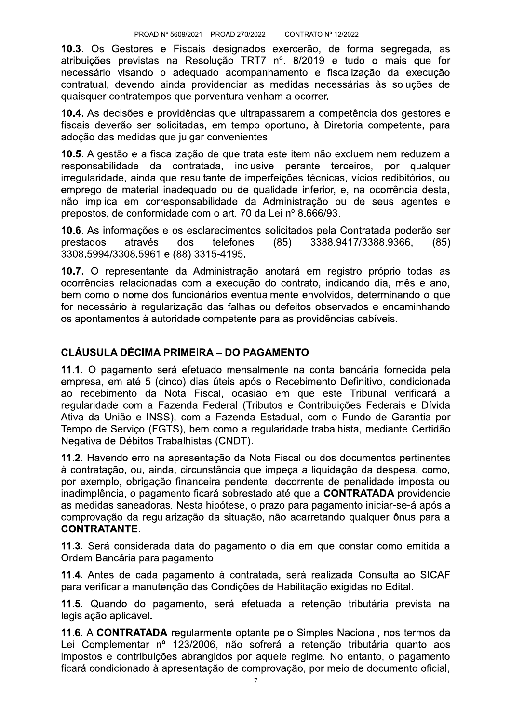10.3. Os Gestores e Fiscais designados exercerão, de forma segregada, as atribuições previstas na Resolução TRT7 nº. 8/2019 e tudo o mais que for necessário visando o adeguado acompanhamento e fiscalização da execução contratual, devendo ainda providenciar as medidas necessárias às soluções de quaisquer contratempos que porventura venham a ocorrer.

10.4. As decisões e providências que ultrapassarem a competência dos gestores e fiscais deverão ser solicitadas, em tempo oportuno, à Diretoria competente, para adocão das medidas que julgar convenientes.

10.5. A gestão e a fiscalização de que trata este item não excluem nem reduzem a responsabilidade da contratada, inclusive perante terceiros, por qualquer irregularidade, ainda que resultante de imperfeições técnicas, vícios redibitórios, ou emprego de material inadequado ou de qualidade inferior, e, na ocorrência desta, não implica em corresponsabilidade da Administração ou de seus agentes e prepostos, de conformidade com o art. 70 da Lei nº 8.666/93.

10.6. As informações e os esclarecimentos solicitados pela Contratada poderão ser prestados através dos telefones  $(85)$ 3388.9417/3388.9366.  $(85)$ 3308.5994/3308.5961 e (88) 3315-4195.

10.7. O representante da Administração anotará em registro próprio todas as ocorrências relacionadas com a execução do contrato, indicando dia, mês e ano, bem como o nome dos funcionários eventualmente envolvidos, determinando o que for necessário à regularização das falhas ou defeitos observados e encaminhando os apontamentos à autoridade competente para as providências cabíveis.

#### **CLÁUSULA DÉCIMA PRIMEIRA - DO PAGAMENTO**

11.1. O pagamento será efetuado mensalmente na conta bancária fornecida pela empresa, em até 5 (cinco) dias úteis após o Recebimento Definitivo, condicionada ao recebimento da Nota Fiscal, ocasião em que este Tribunal verificará a regularidade com a Fazenda Federal (Tributos e Contribuições Federais e Dívida Ativa da União e INSS), com a Fazenda Estadual, com o Fundo de Garantia por Tempo de Servico (FGTS), bem como a regularidade trabalhista, mediante Certidão Negativa de Débitos Trabalhistas (CNDT).

11.2. Havendo erro na apresentação da Nota Fiscal ou dos documentos pertinentes à contratação, ou, ainda, circunstância que impeça a liquidação da despesa, como, por exemplo, obrigação financeira pendente, decorrente de penalidade imposta ou inadimplência, o pagamento ficará sobrestado até que a CONTRATADA providencie as medidas saneadoras. Nesta hipótese, o prazo para pagamento iniciar-se-á após a comprovação da regularização da situação, não acarretando qualquer ônus para a **CONTRATANTE.** 

11.3. Será considerada data do pagamento o dia em que constar como emitida a Ordem Bancária para pagamento.

11.4. Antes de cada pagamento à contratada, será realizada Consulta ao SICAF para verificar a manutenção das Condições de Habilitação exigidas no Edital.

11.5. Quando do pagamento, será efetuada a retenção tributária prevista na legislação aplicável.

11.6. A CONTRATADA regularmente optante pelo Simples Nacional, nos termos da Lei Complementar nº 123/2006, não sofrerá a retenção tributária quanto aos impostos e contribuições abrangidos por aquele regime. No entanto, o pagamento ficará condicionado à apresentação de comprovação, por meio de documento oficial,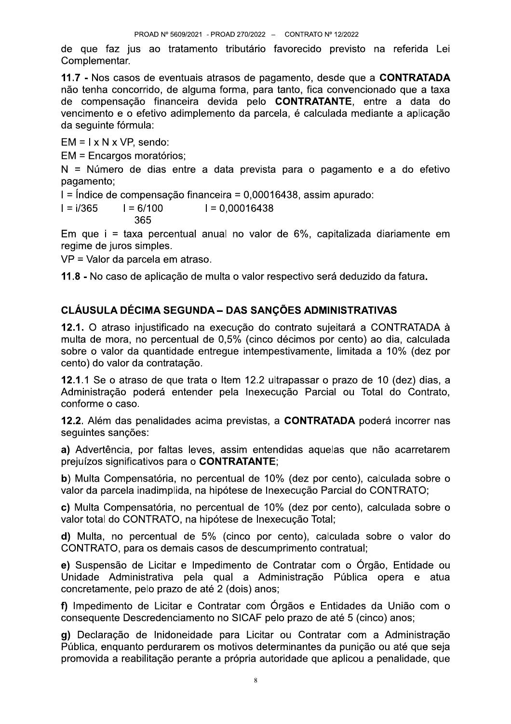de que faz jus ao tratamento tributário favorecido previsto na referida Lei Complementar.

11.7 - Nos casos de eventuais atrasos de pagamento, desde que a CONTRATADA não tenha concorrido, de alguma forma, para tanto, fica convencionado que a taxa de compensação financeira devida pelo CONTRATANTE, entre a data do vencimento e o efetivo adimplemento da parcela, é calculada mediante a aplicação da seguinte fórmula:

 $EM = I \times N \times VP$ , sendo:

EM = Encargos moratórios;

N = Número de dias entre a data prevista para o pagamento e a do efetivo pagamento;

I = Índice de compensação financeira = 0.00016438, assim apurado:

 $I = 6/100$  $I = i/365$  $I = 0.00016438$ 365

Em que i = taxa percentual anual no valor de 6%, capitalizada diariamente em regime de juros simples.

VP = Valor da parcela em atraso.

11.8 - No caso de aplicação de multa o valor respectivo será deduzido da fatura.

# **CLÁUSULA DÉCIMA SEGUNDA - DAS SANÇÕES ADMINISTRATIVAS**

12.1. O atraso injustificado na execução do contrato sujeitará a CONTRATADA à multa de mora, no percentual de 0,5% (cinco décimos por cento) ao dia, calculada sobre o valor da quantidade entregue intempestivamente, limitada a 10% (dez por cento) do valor da contratação.

12.1.1 Se o atraso de que trata o Item 12.2 ultrapassar o prazo de 10 (dez) dias, a Administração poderá entender pela Inexecução Parcial ou Total do Contrato, conforme o caso.

12.2. Além das penalidades acima previstas, a CONTRATADA poderá incorrer nas sequintes sancões:

a) Advertência, por faltas leves, assim entendidas aquelas que não acarretarem prejuízos significativos para o CONTRATANTE;

b) Multa Compensatória, no percentual de 10% (dez por cento), calculada sobre o valor da parcela inadimplida, na hipótese de Inexecução Parcial do CONTRATO;

c) Multa Compensatória, no percentual de 10% (dez por cento), calculada sobre o valor total do CONTRATO, na hipótese de Inexecução Total;

d) Multa, no percentual de 5% (cinco por cento), calculada sobre o valor do CONTRATO, para os demais casos de descumprimento contratual;

e) Suspensão de Licitar e Impedimento de Contratar com o Órgão, Entidade ou Unidade Administrativa pela qual a Administração Pública opera e atua concretamente, pelo prazo de até 2 (dois) anos:

f) Impedimento de Licitar e Contratar com Órgãos e Entidades da União com o consequente Descredenciamento no SICAF pelo prazo de até 5 (cinco) anos;

g) Declaração de Inidoneidade para Licitar ou Contratar com a Administração Pública, enguanto perdurarem os motivos determinantes da punição ou até que seja promovida a reabilitação perante a própria autoridade que aplicou a penalidade, que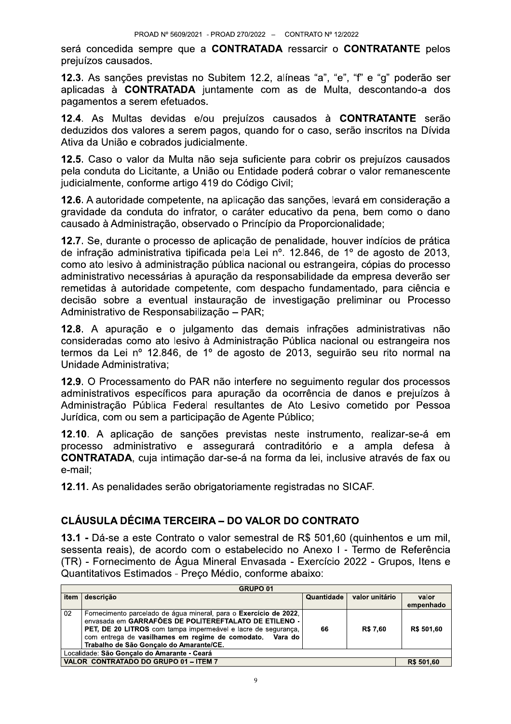será concedida sempre que a CONTRATADA ressarcir o CONTRATANTE pelos prejuízos causados.

12.3. As sanções previstas no Subitem 12.2, alíneas "a", "e", "f" e "g" poderão ser aplicadas à CONTRATADA juntamente com as de Multa, descontando-a dos pagamentos a serem efetuados.

12.4. As Multas devidas e/ou prejuízos causados à CONTRATANTE serão deduzidos dos valores a serem pagos, quando for o caso, serão inscritos na Dívida Ativa da União e cobrados judicialmente.

12.5. Caso o valor da Multa não seja suficiente para cobrir os prejuízos causados pela conduta do Licitante, a União ou Entidade poderá cobrar o valor remanescente judicialmente, conforme artigo 419 do Código Civil;

12.6. A autoridade competente, na aplicação das sanções, levará em consideração a gravidade da conduta do infrator, o caráter educativo da pena, bem como o dano causado à Administração, observado o Princípio da Proporcionalidade:

12.7. Se, durante o processo de aplicação de penalidade, houver indícios de prática de infração administrativa tipificada pela Lei nº. 12.846, de 1º de agosto de 2013, como ato lesivo à administração pública nacional ou estrangeira, cópias do processo administrativo necessárias à apuração da responsabilidade da empresa deverão ser remetidas à autoridade competente, com despacho fundamentado, para ciência e decisão sobre a eventual instauração de investigação preliminar ou Processo Administrativo de Responsabilização - PAR;

12.8. A apuração e o julgamento das demais infrações administrativas não consideradas como ato lesivo à Administração Pública nacional ou estrangeira nos termos da Lei nº 12.846, de 1º de agosto de 2013, seguirão seu rito normal na Unidade Administrativa:

12.9. O Processamento do PAR não interfere no sequimento regular dos processos administrativos específicos para apuração da ocorrência de danos e prejuízos à Administração Pública Federal resultantes de Ato Lesivo cometido por Pessoa Jurídica, com ou sem a participação de Agente Público;

12.10. A aplicação de sanções previstas neste instrumento, realizar-se-á em processo administrativo e assegurará contraditório e a ampla defesa à **CONTRATADA**, cuia intimação dar-se-á na forma da lei, inclusive através de fax ou e-mail:

12.11. As penalidades serão obrigatoriamente registradas no SICAF.

# **CLÁUSULA DÉCIMA TERCEIRA – DO VALOR DO CONTRATO**

13.1 - Dá-se a este Contrato o valor semestral de R\$ 501,60 (quinhentos e um mil, sessenta reais), de acordo com o estabelecido no Anexo I - Termo de Referência (TR) - Fornecimento de Água Mineral Envasada - Exercício 2022 - Grupos, Itens e Quantitativos Estimados - Preço Médio, conforme abaixo:

| <b>GRUPO 01</b>                             |                                                                                                                                                                                                                                                                                                    |            |                |            |
|---------------------------------------------|----------------------------------------------------------------------------------------------------------------------------------------------------------------------------------------------------------------------------------------------------------------------------------------------------|------------|----------------|------------|
| item                                        | descrição                                                                                                                                                                                                                                                                                          | Quantidade | valor unitário | valor      |
|                                             |                                                                                                                                                                                                                                                                                                    |            |                | empenhado  |
| 02                                          | Fornecimento parcelado de água mineral, para o Exercício de 2022,<br>envasada em GARRAFÕES DE POLITEREFTALATO DE ETILENO -<br>PET, DE 20 LITROS com tampa impermeável e lacre de segurança,<br>com entrega de vasilhames em regime de comodato. Vara do<br>Trabalho de São Gonçalo do Amarante/CE. | 66         | <b>R\$7.60</b> | R\$ 501.60 |
| Localidade: São Gonçalo do Amarante - Ceará |                                                                                                                                                                                                                                                                                                    |            |                |            |
| VALOR CONTRATADO DO GRUPO 01 - ITEM 7       |                                                                                                                                                                                                                                                                                                    |            |                | R\$ 501,60 |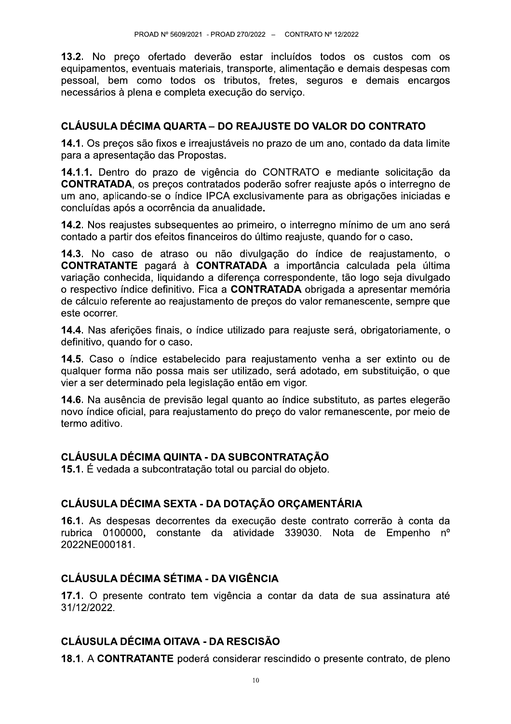13.2. No preco ofertado deverão estar incluídos todos os custos com os equipamentos, eventuais materiais, transporte, alimentação e demais despesas com pessoal, bem como todos os tributos, fretes, seguros e demais encargos necessários à plena e completa execução do servico.

### CLÁUSULA DÉCIMA QUARTA – DO REAJUSTE DO VALOR DO CONTRATO

14.1. Os preços são fixos e irreajustáveis no prazo de um ano, contado da data limite para a apresentação das Propostas.

14.1.1. Dentro do prazo de vigência do CONTRATO e mediante solicitação da **CONTRATADA**, os preços contratados poderão sofrer reajuste após o interregno de um ano, aplicando-se o índice IPCA exclusivamente para as obrigações iniciadas e concluídas após a ocorrência da anualidade.

14.2. Nos reajustes subsequentes ao primeiro, o interregno mínimo de um ano será contado a partir dos efeitos financeiros do último reajuste, quando for o caso.

14.3. No caso de atraso ou não divulgação do índice de reajustamento, o **CONTRATANTE** pagará à **CONTRATADA** a importância calculada pela última variação conhecida, liquidando a diferença correspondente, tão logo seja divulgado o respectivo índice definitivo. Fica a CONTRATADA obrigada a apresentar memória de cálculo referente ao reajustamento de precos do valor remanescente, sempre que este ocorrer.

14.4. Nas aferições finais, o índice utilizado para reajuste será, obrigatoriamente, o definitivo, quando for o caso.

14.5. Caso o índice estabelecido para reajustamento venha a ser extinto ou de qualquer forma não possa mais ser utilizado, será adotado, em substituição, o que vier a ser determinado pela legislação então em vigor.

14.6. Na ausência de previsão legal quanto ao índice substituto, as partes elegerão novo índice oficial, para reajustamento do preço do valor remanescente, por meio de termo aditivo.

#### **CLÁUSULA DÉCIMA QUINTA - DA SUBCONTRATACÃO**

15.1. É vedada a subcontratação total ou parcial do objeto.

# CLÁUSULA DÉCIMA SEXTA - DA DOTAÇÃO ORÇAMENTÁRIA

16.1. As despesas decorrentes da execução deste contrato correrão à conta da rubrica 0100000, constante da atividade 339030. Nota de Empenho nº 2022NE000181.

#### **CLÁUSULA DÉCIMA SÉTIMA - DA VIGÊNCIA**

17.1. O presente contrato tem vigência a contar da data de sua assinatura até 31/12/2022.

#### CLÁUSULA DÉCIMA OITAVA - DA RESCISÃO

18.1. A CONTRATANTE poderá considerar rescindido o presente contrato, de pleno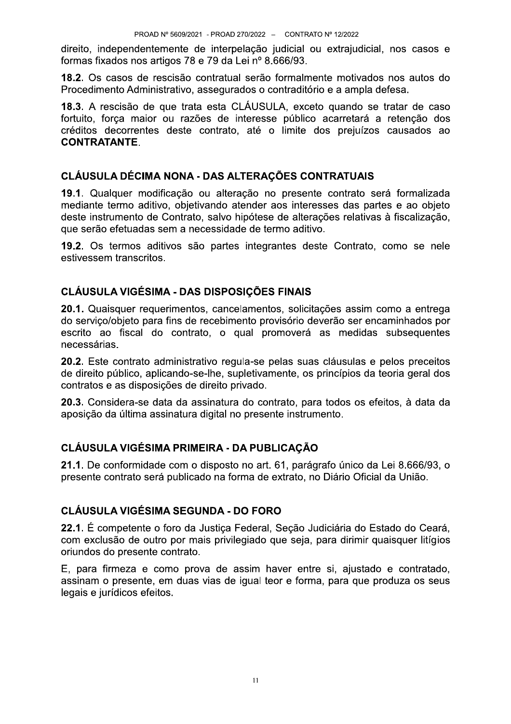direito, independentemente de interpelação judicial ou extrajudicial, nos casos e formas fixados nos artigos 78 e 79 da Lei nº 8.666/93.

18.2. Os casos de rescisão contratual serão formalmente motivados nos autos do Procedimento Administrativo, assegurados o contraditório e a ampla defesa.

18.3. A rescisão de que trata esta CLÁUSULA, exceto quando se tratar de caso fortuito, forca maior ou razões de interesse público acarretará a retenção dos créditos decorrentes deste contrato, até o limite dos prejuízos causados ao **CONTRATANTE.** 

### CLÁUSULA DÉCIMA NONA - DAS ALTERAÇÕES CONTRATUAIS

19.1. Qualquer modificação ou alteração no presente contrato será formalizada mediante termo aditivo, objetivando atender aos interesses das partes e ao objeto deste instrumento de Contrato, salvo hipótese de alterações relativas à fiscalização, que serão efetuadas sem a necessidade de termo aditivo.

19.2. Os termos aditivos são partes integrantes deste Contrato, como se nele estivessem transcritos.

#### **CLÁUSULA VIGÉSIMA - DAS DISPOSIÇÕES FINAIS**

20.1. Quaisquer requerimentos, cancelamentos, solicitações assim como a entrega do servico/objeto para fins de recebimento provisório deverão ser encaminhados por escrito ao fiscal do contrato, o qual promoverá as medidas subsequentes necessárias

20.2. Este contrato administrativo regula-se pelas suas cláusulas e pelos preceitos de direito público, aplicando-se-lhe, supletivamente, os princípios da teoria geral dos contratos e as disposições de direito privado.

20.3. Considera-se data da assinatura do contrato, para todos os efeitos, à data da aposição da última assinatura digital no presente instrumento.

# CLÁUSULA VIGÉSIMA PRIMEIRA - DA PUBLICAÇÃO

21.1. De conformidade com o disposto no art. 61, parágrafo único da Lei 8.666/93, o presente contrato será publicado na forma de extrato, no Diário Oficial da União.

#### **CLÁUSULA VIGÉSIMA SEGUNDA - DO FORO**

22.1. É competente o foro da Justica Federal. Secão Judiciária do Estado do Ceará. com exclusão de outro por mais privilegiado que seja, para dirimir quaisquer litígios oriundos do presente contrato.

E, para firmeza e como prova de assim haver entre si, ajustado e contratado, assinam o presente, em duas vias de igual teor e forma, para que produza os seus legais e jurídicos efeitos.